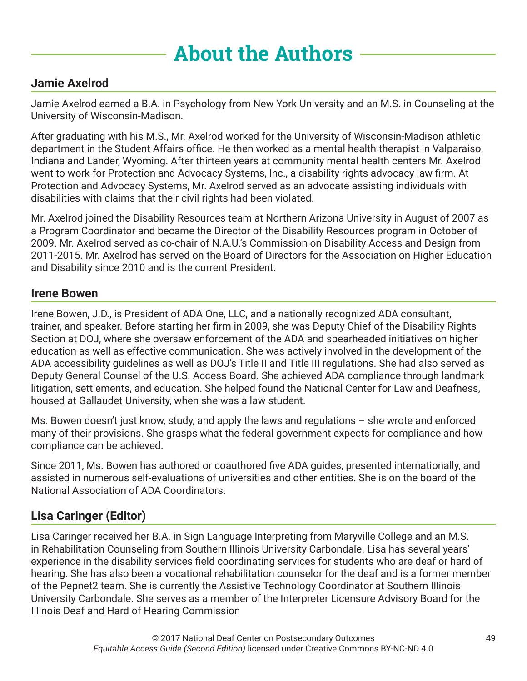# **About the Authors**

#### **Jamie Axelrod**

Jamie Axelrod earned a B.A. in Psychology from New York University and an M.S. in Counseling at the University of Wisconsin-Madison.

After graduating with his M.S., Mr. Axelrod worked for the University of Wisconsin-Madison athletic department in the Student Affairs office. He then worked as a mental health therapist in Valparaiso, Indiana and Lander, Wyoming. After thirteen years at community mental health centers Mr. Axelrod went to work for Protection and Advocacy Systems, Inc., a disability rights advocacy law firm. At Protection and Advocacy Systems, Mr. Axelrod served as an advocate assisting individuals with disabilities with claims that their civil rights had been violated.

Mr. Axelrod joined the Disability Resources team at Northern Arizona University in August of 2007 as a Program Coordinator and became the Director of the Disability Resources program in October of 2009. Mr. Axelrod served as co-chair of N.A.U.'s Commission on Disability Access and Design from 2011-2015. Mr. Axelrod has served on the Board of Directors for the Association on Higher Education and Disability since 2010 and is the current President.

#### **Irene Bowen**

Irene Bowen, J.D., is President of ADA One, LLC, and a nationally recognized ADA consultant, trainer, and speaker. Before starting her firm in 2009, she was Deputy Chief of the Disability Rights Section at DOJ, where she oversaw enforcement of the ADA and spearheaded initiatives on higher education as well as effective communication. She was actively involved in the development of the ADA accessibility guidelines as well as DOJ's Title II and Title III regulations. She had also served as Deputy General Counsel of the U.S. Access Board. She achieved ADA compliance through landmark litigation, settlements, and education. She helped found the National Center for Law and Deafness, housed at Gallaudet University, when she was a law student.

Ms. Bowen doesn't just know, study, and apply the laws and regulations – she wrote and enforced many of their provisions. She grasps what the federal government expects for compliance and how compliance can be achieved.

Since 2011, Ms. Bowen has authored or coauthored five ADA guides, presented internationally, and assisted in numerous self-evaluations of universities and other entities. She is on the board of the National Association of ADA Coordinators.

#### **Lisa Caringer (Editor)**

Lisa Caringer received her B.A. in Sign Language Interpreting from Maryville College and an M.S. in Rehabilitation Counseling from Southern Illinois University Carbondale. Lisa has several years' experience in the disability services field coordinating services for students who are deaf or hard of hearing. She has also been a vocational rehabilitation counselor for the deaf and is a former member of the Pepnet2 team. She is currently the Assistive Technology Coordinator at Southern Illinois University Carbondale. She serves as a member of the Interpreter Licensure Advisory Board for the Illinois Deaf and Hard of Hearing Commission